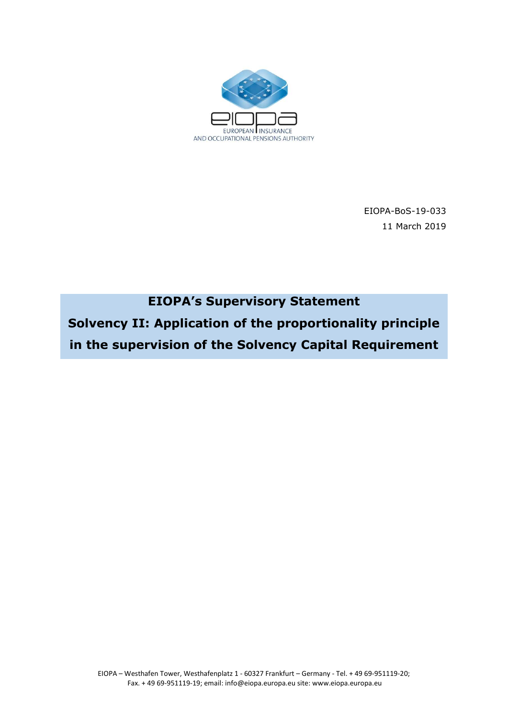

EIOPA-BoS-19-033 11 March 2019

# EIOPA's Supervisory Statement

Solvency II: Application of the proportionality principle in the supervision of the Solvency Capital Requirement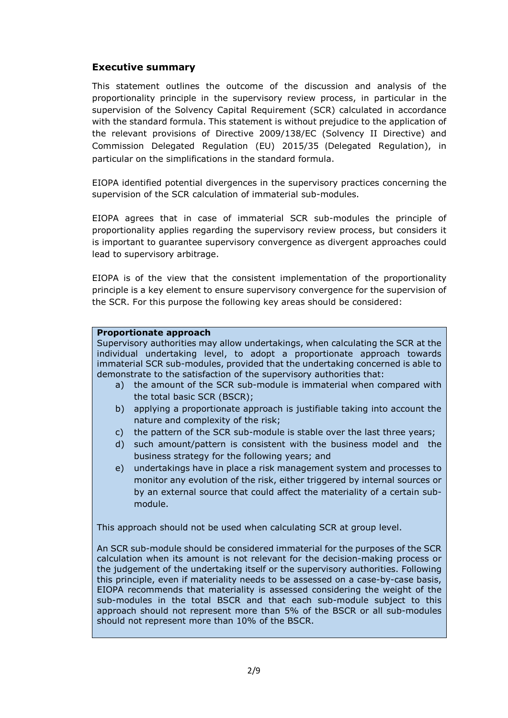# Executive summary

This statement outlines the outcome of the discussion and analysis of the proportionality principle in the supervisory review process, in particular in the supervision of the Solvency Capital Requirement (SCR) calculated in accordance with the standard formula. This statement is without prejudice to the application of the relevant provisions of Directive 2009/138/EC (Solvency II Directive) and Commission Delegated Regulation (EU) 2015/35 (Delegated Regulation), in particular on the simplifications in the standard formula.

EIOPA identified potential divergences in the supervisory practices concerning the supervision of the SCR calculation of immaterial sub-modules.

EIOPA agrees that in case of immaterial SCR sub-modules the principle of proportionality applies regarding the supervisory review process, but considers it is important to guarantee supervisory convergence as divergent approaches could lead to supervisory arbitrage.

EIOPA is of the view that the consistent implementation of the proportionality principle is a key element to ensure supervisory convergence for the supervision of the SCR. For this purpose the following key areas should be considered:

### Proportionate approach

Supervisory authorities may allow undertakings, when calculating the SCR at the individual undertaking level, to adopt a proportionate approach towards immaterial SCR sub-modules, provided that the undertaking concerned is able to demonstrate to the satisfaction of the supervisory authorities that:

- a) the amount of the SCR sub-module is immaterial when compared with the total basic SCR (BSCR);
- b) applying a proportionate approach is justifiable taking into account the nature and complexity of the risk;
- c) the pattern of the SCR sub-module is stable over the last three years;
- d) such amount/pattern is consistent with the business model and the business strategy for the following years; and
- e) undertakings have in place a risk management system and processes to monitor any evolution of the risk, either triggered by internal sources or by an external source that could affect the materiality of a certain submodule.

This approach should not be used when calculating SCR at group level.

An SCR sub-module should be considered immaterial for the purposes of the SCR calculation when its amount is not relevant for the decision-making process or the judgement of the undertaking itself or the supervisory authorities. Following this principle, even if materiality needs to be assessed on a case-by-case basis, EIOPA recommends that materiality is assessed considering the weight of the sub-modules in the total BSCR and that each sub-module subject to this approach should not represent more than 5% of the BSCR or all sub-modules should not represent more than 10% of the BSCR.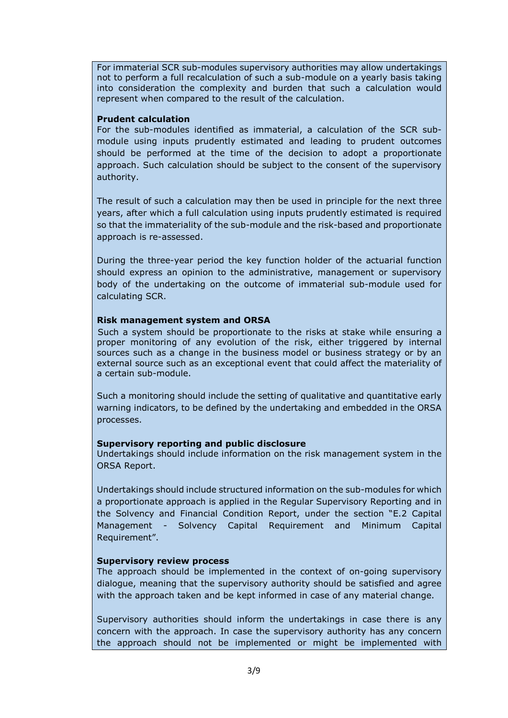For immaterial SCR sub-modules supervisory authorities may allow undertakings not to perform a full recalculation of such a sub-module on a yearly basis taking into consideration the complexity and burden that such a calculation would represent when compared to the result of the calculation.

#### Prudent calculation

For the sub-modules identified as immaterial, a calculation of the SCR submodule using inputs prudently estimated and leading to prudent outcomes should be performed at the time of the decision to adopt a proportionate approach. Such calculation should be subject to the consent of the supervisory authority.

The result of such a calculation may then be used in principle for the next three years, after which a full calculation using inputs prudently estimated is required so that the immateriality of the sub-module and the risk-based and proportionate approach is re-assessed.

During the three-year period the key function holder of the actuarial function should express an opinion to the administrative, management or supervisory body of the undertaking on the outcome of immaterial sub-module used for calculating SCR.

### Risk management system and ORSA

Such a system should be proportionate to the risks at stake while ensuring a proper monitoring of any evolution of the risk, either triggered by internal sources such as a change in the business model or business strategy or by an external source such as an exceptional event that could affect the materiality of a certain sub-module.

Such a monitoring should include the setting of qualitative and quantitative early warning indicators, to be defined by the undertaking and embedded in the ORSA processes.

### Supervisory reporting and public disclosure

Undertakings should include information on the risk management system in the ORSA Report.

Undertakings should include structured information on the sub-modules for which a proportionate approach is applied in the Regular Supervisory Reporting and in the Solvency and Financial Condition Report, under the section "E.2 Capital Management - Solvency Capital Requirement and Minimum Capital Requirement".

### Supervisory review process

The approach should be implemented in the context of on-going supervisory dialogue, meaning that the supervisory authority should be satisfied and agree with the approach taken and be kept informed in case of any material change.

Supervisory authorities should inform the undertakings in case there is any concern with the approach. In case the supervisory authority has any concern the approach should not be implemented or might be implemented with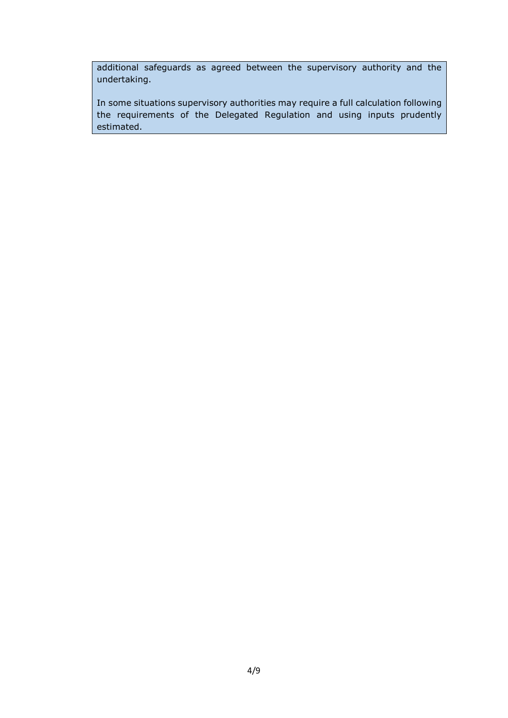additional safeguards as agreed between the supervisory authority and the undertaking.

In some situations supervisory authorities may require a full calculation following the requirements of the Delegated Regulation and using inputs prudently estimated.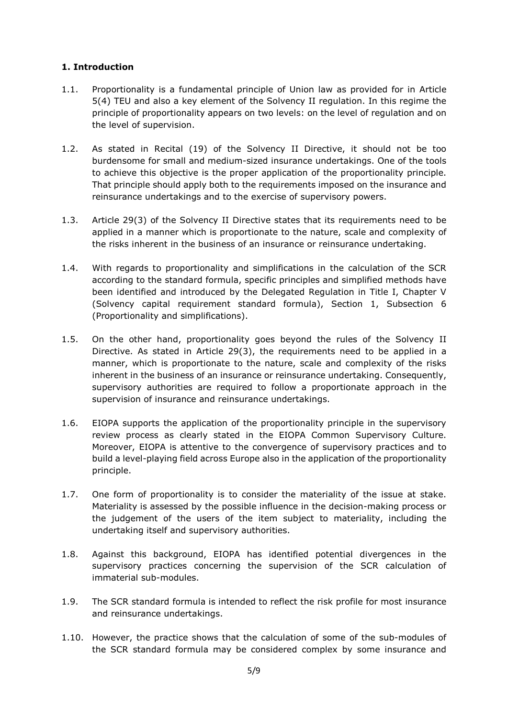# 1. Introduction

- 1.1. Proportionality is a fundamental principle of Union law as provided for in Article 5(4) TEU and also a key element of the Solvency II regulation. In this regime the principle of proportionality appears on two levels: on the level of regulation and on the level of supervision.
- 1.2. As stated in Recital (19) of the Solvency II Directive, it should not be too burdensome for small and medium-sized insurance undertakings. One of the tools to achieve this objective is the proper application of the proportionality principle. That principle should apply both to the requirements imposed on the insurance and reinsurance undertakings and to the exercise of supervisory powers.
- 1.3. Article 29(3) of the Solvency II Directive states that its requirements need to be applied in a manner which is proportionate to the nature, scale and complexity of the risks inherent in the business of an insurance or reinsurance undertaking.
- 1.4. With regards to proportionality and simplifications in the calculation of the SCR according to the standard formula, specific principles and simplified methods have been identified and introduced by the Delegated Regulation in Title I, Chapter V (Solvency capital requirement standard formula), Section 1, Subsection 6 (Proportionality and simplifications).
- 1.5. On the other hand, proportionality goes beyond the rules of the Solvency II Directive. As stated in Article 29(3), the requirements need to be applied in a manner, which is proportionate to the nature, scale and complexity of the risks inherent in the business of an insurance or reinsurance undertaking. Consequently, supervisory authorities are required to follow a proportionate approach in the supervision of insurance and reinsurance undertakings.
- 1.6. EIOPA supports the application of the proportionality principle in the supervisory review process as clearly stated in the EIOPA Common Supervisory Culture. Moreover, EIOPA is attentive to the convergence of supervisory practices and to build a level-playing field across Europe also in the application of the proportionality principle.
- 1.7. One form of proportionality is to consider the materiality of the issue at stake. Materiality is assessed by the possible influence in the decision-making process or the judgement of the users of the item subject to materiality, including the undertaking itself and supervisory authorities.
- 1.8. Against this background, EIOPA has identified potential divergences in the supervisory practices concerning the supervision of the SCR calculation of immaterial sub-modules.
- 1.9. The SCR standard formula is intended to reflect the risk profile for most insurance and reinsurance undertakings.
- 1.10. However, the practice shows that the calculation of some of the sub-modules of the SCR standard formula may be considered complex by some insurance and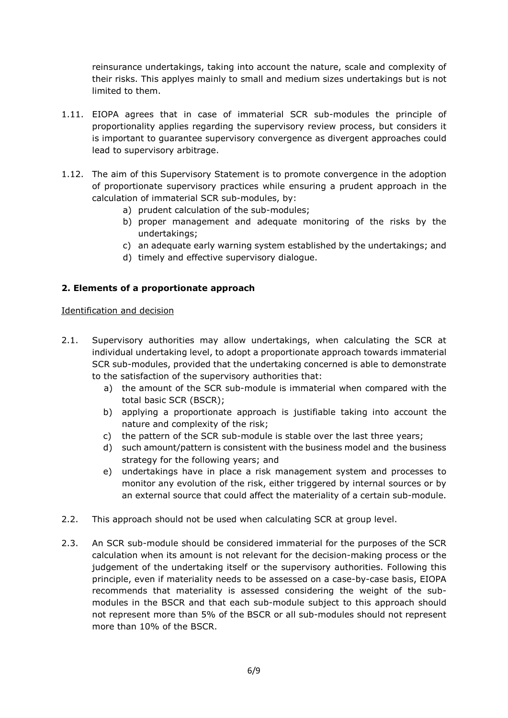reinsurance undertakings, taking into account the nature, scale and complexity of their risks. This applyes mainly to small and medium sizes undertakings but is not limited to them.

- 1.11. EIOPA agrees that in case of immaterial SCR sub-modules the principle of proportionality applies regarding the supervisory review process, but considers it is important to guarantee supervisory convergence as divergent approaches could lead to supervisory arbitrage.
- 1.12. The aim of this Supervisory Statement is to promote convergence in the adoption of proportionate supervisory practices while ensuring a prudent approach in the calculation of immaterial SCR sub-modules, by:
	- a) prudent calculation of the sub-modules;
	- b) proper management and adequate monitoring of the risks by the undertakings;
	- c) an adequate early warning system established by the undertakings; and
	- d) timely and effective supervisory dialogue.

# 2. Elements of a proportionate approach

### Identification and decision

- 2.1. Supervisory authorities may allow undertakings, when calculating the SCR at individual undertaking level, to adopt a proportionate approach towards immaterial SCR sub-modules, provided that the undertaking concerned is able to demonstrate to the satisfaction of the supervisory authorities that:
	- a) the amount of the SCR sub-module is immaterial when compared with the total basic SCR (BSCR);
	- b) applying a proportionate approach is justifiable taking into account the nature and complexity of the risk;
	- c) the pattern of the SCR sub-module is stable over the last three years;
	- d) such amount/pattern is consistent with the business model and the business strategy for the following years; and
	- e) undertakings have in place a risk management system and processes to monitor any evolution of the risk, either triggered by internal sources or by an external source that could affect the materiality of a certain sub-module.
- 2.2. This approach should not be used when calculating SCR at group level.
- 2.3. An SCR sub-module should be considered immaterial for the purposes of the SCR calculation when its amount is not relevant for the decision-making process or the judgement of the undertaking itself or the supervisory authorities. Following this principle, even if materiality needs to be assessed on a case-by-case basis, EIOPA recommends that materiality is assessed considering the weight of the submodules in the BSCR and that each sub-module subject to this approach should not represent more than 5% of the BSCR or all sub-modules should not represent more than 10% of the BSCR.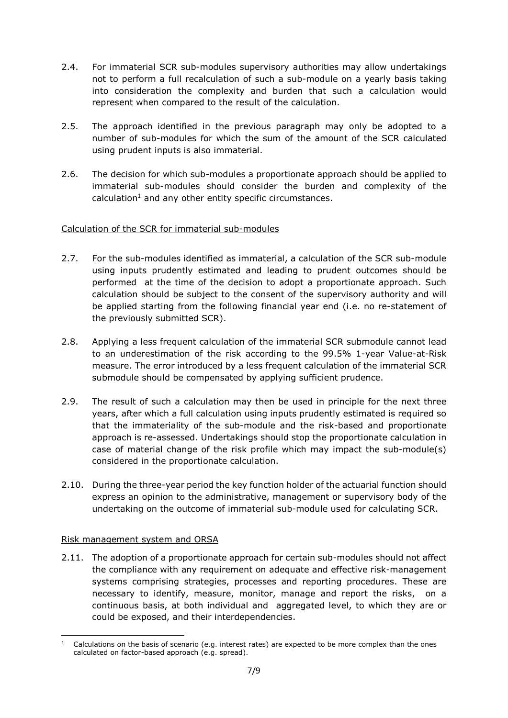- 2.4. For immaterial SCR sub-modules supervisory authorities may allow undertakings not to perform a full recalculation of such a sub-module on a yearly basis taking into consideration the complexity and burden that such a calculation would represent when compared to the result of the calculation.
- 2.5. The approach identified in the previous paragraph may only be adopted to a number of sub-modules for which the sum of the amount of the SCR calculated using prudent inputs is also immaterial.
- 2.6. The decision for which sub-modules a proportionate approach should be applied to immaterial sub-modules should consider the burden and complexity of the calculation<sup>1</sup> and any other entity specific circumstances.

# Calculation of the SCR for immaterial sub-modules

- 2.7. For the sub-modules identified as immaterial, a calculation of the SCR sub-module using inputs prudently estimated and leading to prudent outcomes should be performed at the time of the decision to adopt a proportionate approach. Such calculation should be subject to the consent of the supervisory authority and will be applied starting from the following financial year end (i.e. no re-statement of the previously submitted SCR).
- 2.8. Applying a less frequent calculation of the immaterial SCR submodule cannot lead to an underestimation of the risk according to the 99.5% 1-year Value-at-Risk measure. The error introduced by a less frequent calculation of the immaterial SCR submodule should be compensated by applying sufficient prudence.
- 2.9. The result of such a calculation may then be used in principle for the next three years, after which a full calculation using inputs prudently estimated is required so that the immateriality of the sub-module and the risk-based and proportionate approach is re-assessed. Undertakings should stop the proportionate calculation in case of material change of the risk profile which may impact the sub-module(s) considered in the proportionate calculation.
- 2.10. During the three-year period the key function holder of the actuarial function should express an opinion to the administrative, management or supervisory body of the undertaking on the outcome of immaterial sub-module used for calculating SCR.

# Risk management system and ORSA

2.11. The adoption of a proportionate approach for certain sub-modules should not affect the compliance with any requirement on adequate and effective risk-management systems comprising strategies, processes and reporting procedures. These are necessary to identify, measure, monitor, manage and report the risks, on a continuous basis, at both individual and aggregated level, to which they are or could be exposed, and their interdependencies.

<sup>-</sup> $<sup>1</sup>$  Calculations on the basis of scenario (e.g. interest rates) are expected to be more complex than the ones</sup> calculated on factor-based approach (e.g. spread).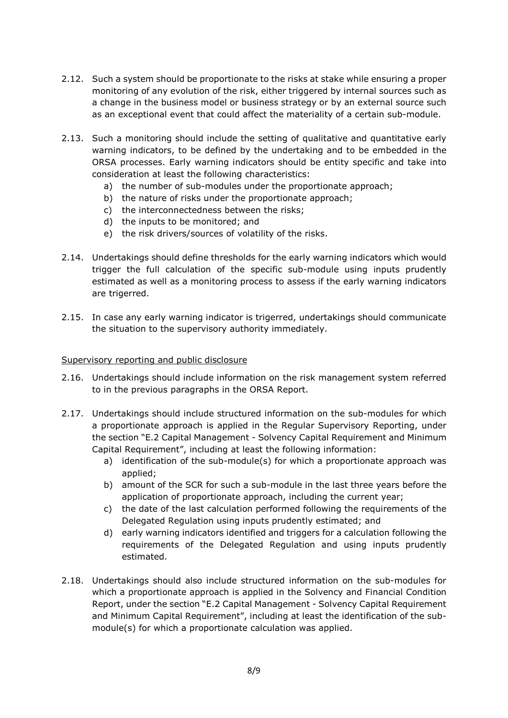- 2.12. Such a system should be proportionate to the risks at stake while ensuring a proper monitoring of any evolution of the risk, either triggered by internal sources such as a change in the business model or business strategy or by an external source such as an exceptional event that could affect the materiality of a certain sub-module.
- 2.13. Such a monitoring should include the setting of qualitative and quantitative early warning indicators, to be defined by the undertaking and to be embedded in the ORSA processes. Early warning indicators should be entity specific and take into consideration at least the following characteristics:
	- a) the number of sub-modules under the proportionate approach;
	- b) the nature of risks under the proportionate approach;
	- c) the interconnectedness between the risks;
	- d) the inputs to be monitored; and
	- e) the risk drivers/sources of volatility of the risks.
- 2.14. Undertakings should define thresholds for the early warning indicators which would trigger the full calculation of the specific sub-module using inputs prudently estimated as well as a monitoring process to assess if the early warning indicators are trigerred.
- 2.15. In case any early warning indicator is trigerred, undertakings should communicate the situation to the supervisory authority immediately.

### Supervisory reporting and public disclosure

- 2.16. Undertakings should include information on the risk management system referred to in the previous paragraphs in the ORSA Report.
- 2.17. Undertakings should include structured information on the sub-modules for which a proportionate approach is applied in the Regular Supervisory Reporting, under the section "E.2 Capital Management - Solvency Capital Requirement and Minimum Capital Requirement", including at least the following information:
	- a) identification of the sub-module(s) for which a proportionate approach was applied;
	- b) amount of the SCR for such a sub-module in the last three years before the application of proportionate approach, including the current year;
	- c) the date of the last calculation performed following the requirements of the Delegated Regulation using inputs prudently estimated; and
	- d) early warning indicators identified and triggers for a calculation following the requirements of the Delegated Regulation and using inputs prudently estimated.
- 2.18. Undertakings should also include structured information on the sub-modules for which a proportionate approach is applied in the Solvency and Financial Condition Report, under the section "E.2 Capital Management - Solvency Capital Requirement and Minimum Capital Requirement", including at least the identification of the submodule(s) for which a proportionate calculation was applied.